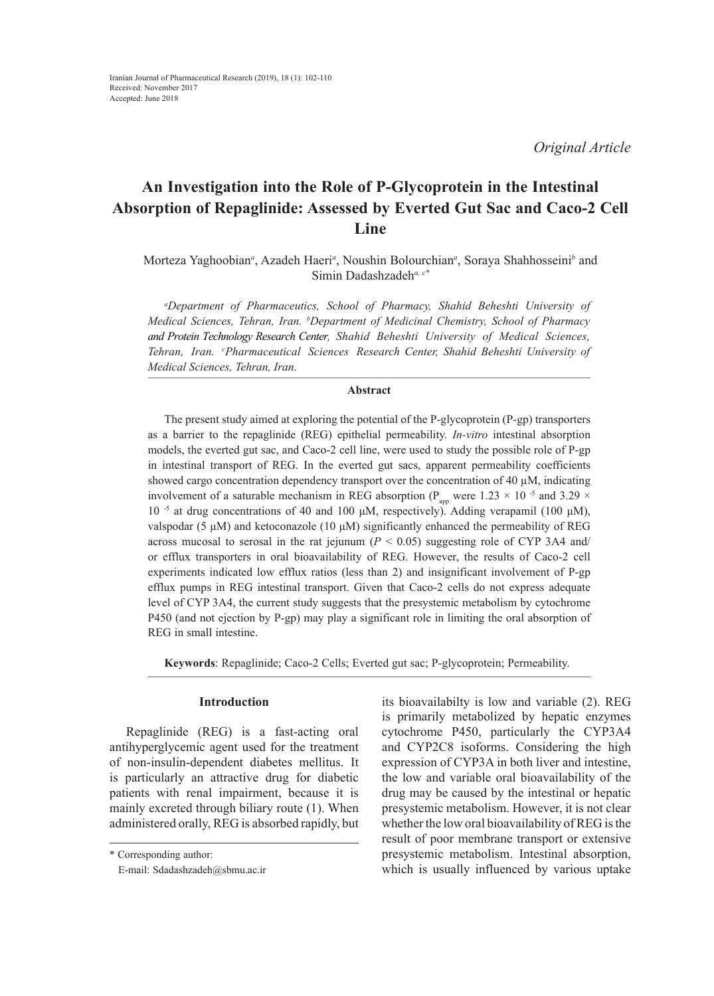*Original Article*

# **An Investigation into the Role of P-Glycoprotein in the Intestinal Absorption of Repaglinide: Assessed by Everted Gut Sac and Caco-2 Cell Line**

# Morteza Yaghoobian<sup>a</sup>, Azadeh Haeri<sup>a</sup>, Noushin Bolourchian<sup>a</sup>, Soraya Shahhosseinib and Simin Dadashzadeh*a, c\**

*a Department of Pharmaceutics, School of Pharmacy, Shahid Beheshti University of Medical Sciences, Tehran, Iran. b Department of Medicinal Chemistry, School of Pharmacy and Protein Technology Research Center, Shahid Beheshti University of Medical Sciences, Tehran, Iran. c Pharmaceutical Sciences Research Center, Shahid Beheshti University of Medical Sciences, Tehran, Iran.*

# **Abstract**

The present study aimed at exploring the potential of the P-glycoprotein (P-gp) transporters as a barrier to the repaglinide (REG) epithelial permeability. *In-vitro* intestinal absorption models, the everted gut sac, and Caco-2 cell line, were used to study the possible role of P-gp in intestinal transport of REG. In the everted gut sacs, apparent permeability coefficients showed cargo concentration dependency transport over the concentration of 40  $\mu$ M, indicating involvement of a saturable mechanism in REG absorption ( $P_{app}$  were 1.23  $\times$  10<sup>-5</sup> and 3.29  $\times$ 10<sup>-5</sup> at drug concentrations of 40 and 100 μM, respectively). Adding verapamil (100 μM), valspodar (5 μM) and ketoconazole (10 μM) significantly enhanced the permeability of REG across mucosal to serosal in the rat jejunum  $(P < 0.05)$  suggesting role of CYP 3A4 and/ or efflux transporters in oral bioavailability of REG. However, the results of Caco-2 cell experiments indicated low efflux ratios (less than 2) and insignificant involvement of P-gp efflux pumps in REG intestinal transport. Given that Caco-2 cells do not express adequate level of CYP 3A4, the current study suggests that the presystemic metabolism by cytochrome P450 (and not ejection by P-gp) may play a significant role in limiting the oral absorption of REG in small intestine.

**Keywords**: Repaglinide; Caco-2 Cells; Everted gut sac; P-glycoprotein; Permeability.

# **Introduction**

Repaglinide (REG) is a fast-acting oral antihyperglycemic agent used for the treatment of non-insulin-dependent diabetes mellitus. It is particularly an attractive drug for diabetic patients with renal impairment, because it is mainly excreted through biliary route (1). When administered orally, REG is absorbed rapidly, but

its bioavailabilty is low and variable (2). REG is primarily metabolized by hepatic enzymes cytochrome P450, particularly the CYP3A4 and CYP2C8 isoforms. Considering the high expression of CYP3A in both liver and intestine, the low and variable oral bioavailability of the drug may be caused by the intestinal or hepatic presystemic metabolism. However, it is not clear whether the low oral bioavailability of REG is the result of poor membrane transport or extensive presystemic metabolism. Intestinal absorption, which is usually influenced by various uptake

<sup>\*</sup> Corresponding author:

E-mail: Sdadashzadeh@sbmu.ac.ir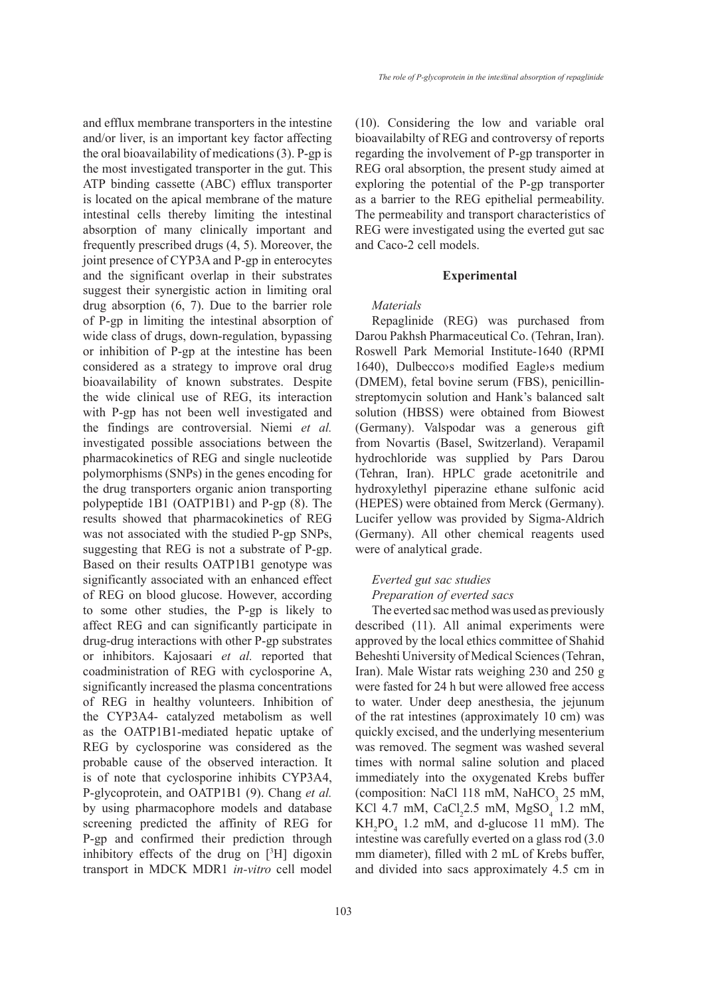and efflux membrane transporters in the intestine and/or liver, is an important key factor affecting the oral bioavailability of medications (3). P-gp is the most investigated transporter in the gut. This ATP binding cassette (ABC) efflux transporter is located on the apical membrane of the mature intestinal cells thereby limiting the intestinal absorption of many clinically important and frequently prescribed drugs (4, 5). Moreover, the joint presence of CYP3A and P-gp in enterocytes and the significant overlap in their substrates suggest their synergistic action in limiting oral drug absorption (6, 7). Due to the barrier role of P-gp in limiting the intestinal absorption of wide class of drugs, down-regulation, bypassing or inhibition of P-gp at the intestine has been considered as a strategy to improve oral drug bioavailability of known substrates. Despite the wide clinical use of REG, its interaction with P-gp has not been well investigated and the findings are controversial. Niemi *et al.* investigated possible associations between the pharmacokinetics of REG and single nucleotide polymorphisms (SNPs) in the genes encoding for the drug transporters organic anion transporting polypeptide 1B1 (OATP1B1) and P-gp (8). The results showed that pharmacokinetics of REG was not associated with the studied P-gp SNPs, suggesting that REG is not a substrate of P-gp. Based on their results OATP1B1 genotype was significantly associated with an enhanced effect of REG on blood glucose. However, according to some other studies, the P-gp is likely to affect REG and can significantly participate in drug-drug interactions with other P-gp substrates or inhibitors. Kajosaari *et al.* reported that coadministration of REG with cyclosporine A, significantly increased the plasma concentrations of REG in healthy volunteers. Inhibition of the CYP3A4- catalyzed metabolism as well as the OATP1B1-mediated hepatic uptake of REG by cyclosporine was considered as the probable cause of the observed interaction. It is of note that cyclosporine inhibits CYP3A4, P-glycoprotein, and OATP1B1 (9). Chang *et al.* by using pharmacophore models and database screening predicted the affinity of REG for P-gp and confirmed their prediction through inhibitory effects of the drug on [3 H] digoxin transport in MDCK MDR1 *in-vitro* cell model

(10). Considering the low and variable oral bioavailabilty of REG and controversy of reports regarding the involvement of P-gp transporter in REG oral absorption, the present study aimed at exploring the potential of the P-gp transporter as a barrier to the REG epithelial permeability. The permeability and transport characteristics of REG were investigated using the everted gut sac and Caco-2 cell models.

#### **Experimental**

## *Materials*

Repaglinide (REG) was purchased from Darou Pakhsh Pharmaceutical Co. (Tehran, Iran). Roswell Park Memorial Institute-1640 (RPMI 1640), Dulbecco›s modified Eagle›s medium (DMEM), fetal bovine serum (FBS), penicillinstreptomycin solution and Hank's balanced salt solution (HBSS) were obtained from Biowest (Germany). Valspodar was a generous gift from Novartis (Basel, Switzerland). Verapamil hydrochloride was supplied by Pars Darou (Tehran, Iran). HPLC grade acetonitrile and hydroxylethyl piperazine ethane sulfonic acid (HEPES) were obtained from Merck (Germany). Lucifer yellow was provided by Sigma-Aldrich (Germany). All other chemical reagents used were of analytical grade.

# *Everted gut sac studies Preparation of everted sacs*

The everted sac method was used as previously described (11). All animal experiments were approved by the local ethics committee of Shahid Beheshti University of Medical Sciences (Tehran, Iran). Male Wistar rats weighing 230 and 250 g were fasted for 24 h but were allowed free access to water. Under deep anesthesia, the jejunum of the rat intestines (approximately 10 cm) was quickly excised, and the underlying mesenterium was removed. The segment was washed several times with normal saline solution and placed immediately into the oxygenated Krebs buffer (composition: NaCl 118 mM, NaHCO<sub>3</sub> 25 mM, KCl 4.7 mM,  $CaCl<sub>2</sub>2.5$  mM,  $MgSO<sub>4</sub>$  1.2 mM,  $KH_2PO_4$  1.2 mM, and d-glucose 11 mM). The intestine was carefully everted on a glass rod (3.0 mm diameter), filled with 2 mL of Krebs buffer, and divided into sacs approximately 4.5 cm in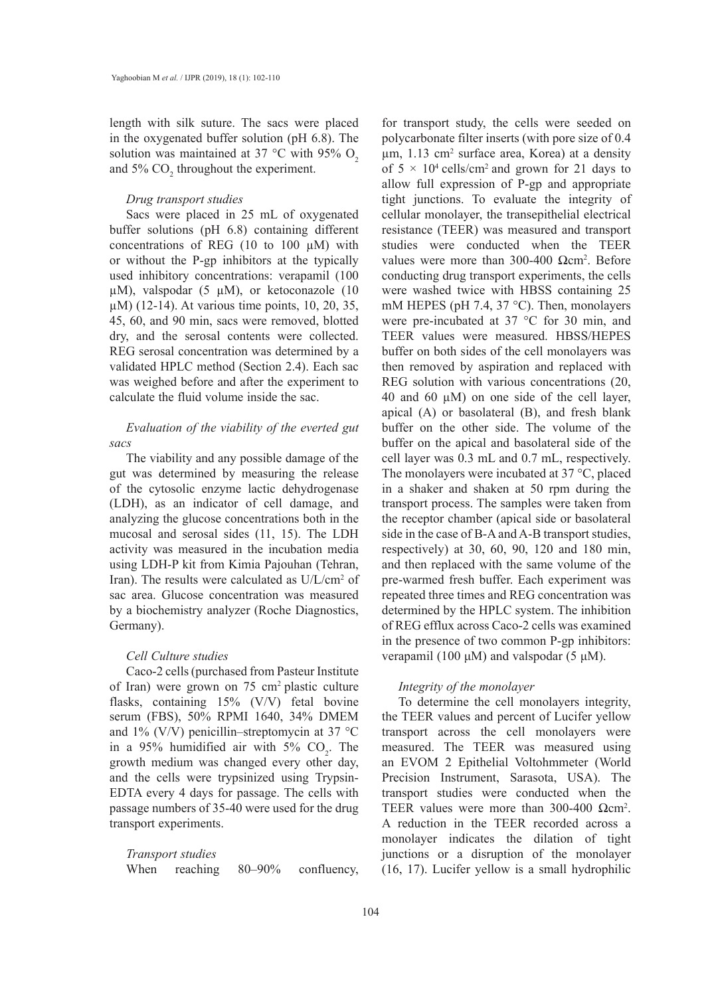length with silk suture. The sacs were placed in the oxygenated buffer solution (pH 6.8). The solution was maintained at 37 °C with 95%  $O<sub>2</sub>$ and  $5\%$  CO<sub>2</sub> throughout the experiment.

# *Drug transport studies*

Sacs were placed in 25 mL of oxygenated buffer solutions (pH 6.8) containing different concentrations of REG (10 to 100 µM) with or without the P-gp inhibitors at the typically used inhibitory concentrations: verapamil (100  $\mu$ M), valspodar (5  $\mu$ M), or ketoconazole (10 µM) (12-14). At various time points, 10, 20, 35, 45, 60, and 90 min, sacs were removed, blotted dry, and the serosal contents were collected. REG serosal concentration was determined by a validated HPLC method (Section 2.4). Each sac was weighed before and after the experiment to calculate the fluid volume inside the sac.

# *Evaluation of the viability of the everted gut sacs*

The viability and any possible damage of the gut was determined by measuring the release of the cytosolic enzyme lactic dehydrogenase (LDH), as an indicator of cell damage, and analyzing the glucose concentrations both in the mucosal and serosal sides (11, 15). The LDH activity was measured in the incubation media using LDH-P kit from Kimia Pajouhan (Tehran, Iran). The results were calculated as U/L/cm<sup>2</sup> of sac area. Glucose concentration was measured by a biochemistry analyzer (Roche Diagnostics, Germany).

# *Cell Culture studies*

Caco-2 cells (purchased from Pasteur Institute of Iran) were grown on 75 cm2 plastic culture flasks, containing 15% (V/V) fetal bovine serum (FBS), 50% RPMI 1640, 34% DMEM and 1% (V/V) penicillin–streptomycin at 37 °C in a 95% humidified air with 5%  $CO_2$ . The growth medium was changed every other day, and the cells were trypsinized using Trypsin-EDTA every 4 days for passage. The cells with passage numbers of 35-40 were used for the drug transport experiments.

*Transport studies* When reaching 80–90% confluency, for transport study, the cells were seeded on polycarbonate filter inserts (with pore size of 0.4  $\mu$ m, 1.13 cm<sup>2</sup> surface area, Korea) at a density of  $5 \times 10^4$  cells/cm<sup>2</sup> and grown for 21 days to allow full expression of P-gp and appropriate tight junctions. To evaluate the integrity of cellular monolayer, the transepithelial electrical resistance (TEER) was measured and transport studies were conducted when the TEER values were more than  $300-400$  Ωcm<sup>2</sup>. Before conducting drug transport experiments, the cells were washed twice with HBSS containing 25 mM HEPES (pH 7.4, 37 °C). Then, monolayers were pre-incubated at 37 °C for 30 min, and TEER values were measured. HBSS/HEPES buffer on both sides of the cell monolayers was then removed by aspiration and replaced with REG solution with various concentrations (20, 40 and 60  $\mu$ M) on one side of the cell layer, apical (A) or basolateral (B), and fresh blank buffer on the other side. The volume of the buffer on the apical and basolateral side of the cell layer was 0.3 mL and 0.7 mL, respectively. The monolayers were incubated at 37 °C, placed in a shaker and shaken at 50 rpm during the transport process. The samples were taken from the receptor chamber (apical side or basolateral side in the case of B-A and A-B transport studies, respectively) at 30, 60, 90, 120 and 180 min, and then replaced with the same volume of the pre-warmed fresh buffer. Each experiment was repeated three times and REG concentration was determined by the HPLC system. The inhibition of REG efflux across Caco-2 cells was examined in the presence of two common P-gp inhibitors: verapamil (100 μM) and valspodar (5 μM).

# *Integrity of the monolayer*

To determine the cell monolayers integrity, the TEER values and percent of Lucifer yellow transport across the cell monolayers were measured. The TEER was measured using an EVOM 2 Epithelial Voltohmmeter (World Precision Instrument, Sarasota, USA). The transport studies were conducted when the TEER values were more than  $300-400 \Omega$ cm<sup>2</sup>. A reduction in the TEER recorded across a monolayer indicates the dilation of tight junctions or a disruption of the monolayer (16, 17). Lucifer yellow is a small hydrophilic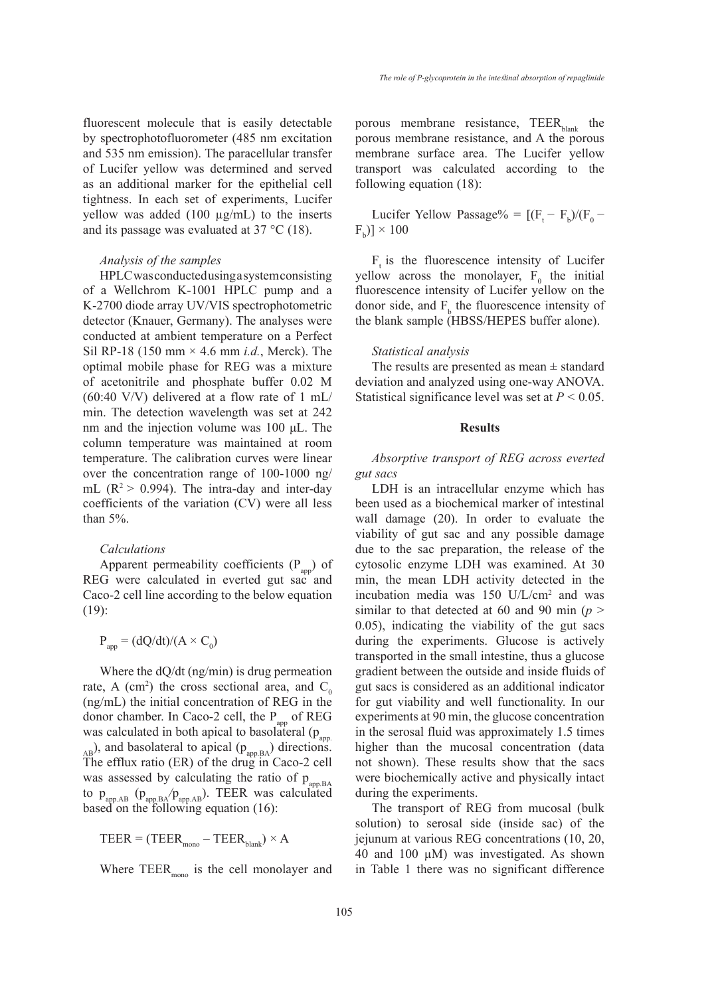fluorescent molecule that is easily detectable by spectrophotofluorometer (485 nm excitation and 535 nm emission). The paracellular transfer of Lucifer yellow was determined and served as an additional marker for the epithelial cell tightness. In each set of experiments, Lucifer yellow was added  $(100 \mu g/mL)$  to the inserts and its passage was evaluated at 37 °C (18).

#### *Analysis of the samples*

HPLC was conducted using a system consisting of a Wellchrom K-1001 HPLC pump and a K-2700 diode array UV/VIS spectrophotometric detector (Knauer, Germany). The analyses were conducted at ambient temperature on a Perfect Sil RP-18 (150 mm × 4.6 mm *i.d.*, Merck). The optimal mobile phase for REG was a mixture of acetonitrile and phosphate buffer 0.02 M  $(60:40 \text{ V/V})$  delivered at a flow rate of 1 mL/ min. The detection wavelength was set at 242 nm and the injection volume was 100 μL. The column temperature was maintained at room temperature. The calibration curves were linear over the concentration range of 100-1000 ng/ mL ( $R^2$  > 0.994). The intra-day and inter-day coefficients of the variation (CV) were all less than 5%.

#### *Calculations*

Apparent permeability coefficients  $(P_{\text{app}})$  of REG were calculated in everted gut sac and Caco-2 cell line according to the below equation (19):

$$
P_{app} = (dQ/dt)/(A \times C_0)
$$

Where the dQ/dt (ng/min) is drug permeation rate, A (cm<sup>2</sup>) the cross sectional area, and  $C_0$ (ng/mL) the initial concentration of REG in the donor chamber. In Caco-2 cell, the  $P_{\text{app}}$  of REG was calculated in both apical to basolateral  $(p_{app.})$  $_{AB}$ ), and basolateral to apical ( $p_{_{app,BA}}$ ) directions. The efflux ratio (ER) of the drug in Caco-2 cell was assessed by calculating the ratio of  $p_{\text{app.BA}}$ to papp.AB (papp.BA*/*papp.AB). TEER was calculated based on the following equation (16):

$$
TEER = (TEER_{\text{mono}} - TEER_{\text{blank}}) \times A
$$

Where  $\text{TEER}_{\text{mono}}$  is the cell monolayer and

porous membrane resistance,  $\text{TEER}_{\text{blank}}$  the porous membrane resistance, and A the porous membrane surface area. The Lucifer yellow transport was calculated according to the following equation (18):

Lucifer Yellow Passage% =  $[(F_t - F_b)/(F_0 [F_b] \times 100$ 

 $F<sub>t</sub>$  is the fluorescence intensity of Lucifer yellow across the monolayer,  $F_0$  the initial fluorescence intensity of Lucifer yellow on the donor side, and  $F_b$  the fluorescence intensity of the blank sample (HBSS/HEPES buffer alone).

## *Statistical analysis*

The results are presented as mean  $\pm$  standard deviation and analyzed using one-way ANOVA. Statistical significance level was set at *P <* 0*.*05.

## **Results**

*Absorptive transport of REG across everted gut sacs* 

LDH is an intracellular enzyme which has been used as a biochemical marker of intestinal wall damage (20). In order to evaluate the viability of gut sac and any possible damage due to the sac preparation, the release of the cytosolic enzyme LDH was examined. At 30 min, the mean LDH activity detected in the incubation media was 150 U/L/cm2 and was similar to that detected at 60 and 90 min ( $p >$ 0.05), indicating the viability of the gut sacs during the experiments. Glucose is actively transported in the small intestine, thus a glucose gradient between the outside and inside fluids of gut sacs is considered as an additional indicator for gut viability and well functionality. In our experiments at 90 min, the glucose concentration in the serosal fluid was approximately 1.5 times higher than the mucosal concentration (data not shown). These results show that the sacs were biochemically active and physically intact during the experiments.

The transport of REG from mucosal (bulk solution) to serosal side (inside sac) of the jejunum at various REG concentrations (10, 20, 40 and 100 µM) was investigated. As shown in Table 1 there was no significant difference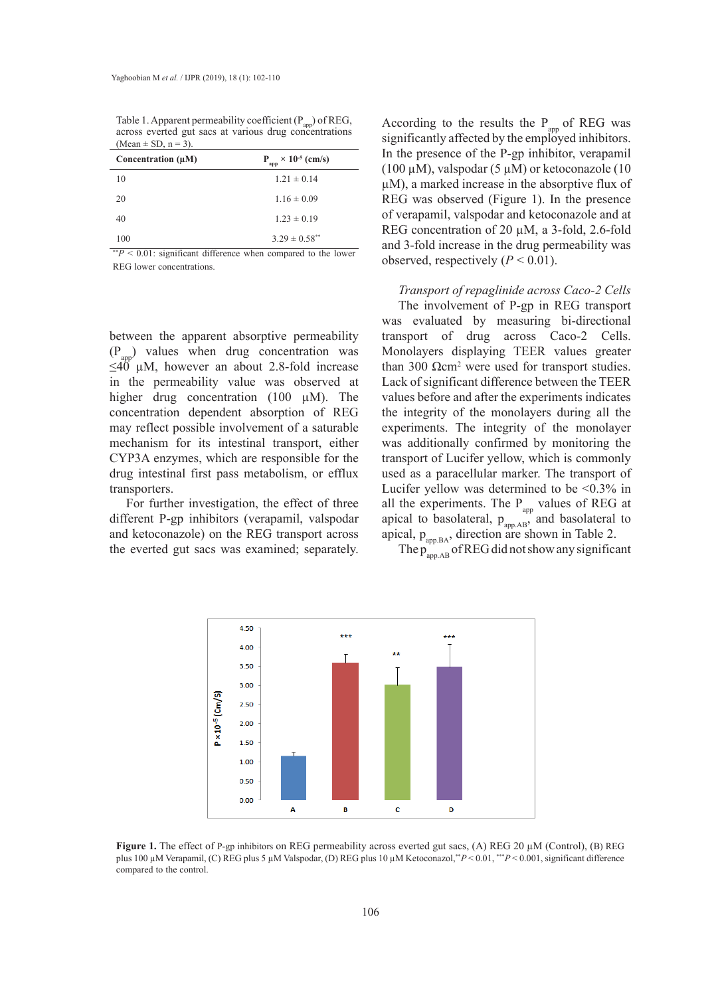| (Mean $\pm$ SD, n = 3). |                                     |
|-------------------------|-------------------------------------|
| Concentration $(\mu M)$ | $P_{app}$ × 10 <sup>-5</sup> (cm/s) |
| 10                      | $1.21 \pm 0.14$                     |
| 20                      | $1.16 \pm 0.09$                     |

40  $1.23 \pm 0.19$  $100 \hspace{1.5cm} 3.29 \pm 0.58$ \*\*

Table 1. Apparent permeability coefficient  $(P_{\text{app}})$  of REG, across everted gut sacs at various drug concentrations

\*\**P* < 0.01: significant difference when compared to the lower REG lower concentrations.

between the apparent absorptive permeability  $(P_{\text{app}})$  values when drug concentration was  $\leq 40$  µM, however an about 2.8-fold increase in the permeability value was observed at higher drug concentration (100  $\mu$ M). The concentration dependent absorption of REG may reflect possible involvement of a saturable mechanism for its intestinal transport, either CYP3A enzymes, which are responsible for the drug intestinal first pass metabolism, or efflux transporters.

For further investigation, the effect of three different P-gp inhibitors (verapamil, valspodar and ketoconazole) on the REG transport across the everted gut sacs was examined; separately.  $f_{app,BA}$ , and  $f_{app,BA}$ , and  $f_{app,BA}$ ,  $f_{app,BA}$ ,  $f_{app,BA}$ ,  $f_{app,BA}$ ,  $f_{app,BA}$ ,  $f_{app,BA}$ ,  $f_{app,BA}$ ,  $f_{app,BA}$ ,  $f_{app,BA}$ ,  $f_{app,BA}$ ,  $f_{app,BA}$ ,  $f_{app,BA}$ ,  $f_{app,BA}$ ,  $f_{app,BA}$ ,  $f_{app,BA}$ ,  $f_{app,BA}$ ,  $f_{app,BA}$ ,  $f_{app,AB}$ ,  $f_{app,AB}$ ,  $f_{$ 

According to the results the  $P_{app}$  of REG was significantly affected by the employed inhibitors. In the presence of the P-gp inhibitor, verapamil (100  $\mu$ M), valspodar (5  $\mu$ M) or ketoconazole (10 µM), a marked increase in the absorptive flux of REG was observed (Figure 1). In the presence of verapamil, valspodar and ketoconazole and at REG concentration of 20 µM, a 3-fold, 2.6-fold and 3-fold increase in the drug permeability was observed, respectively  $(P < 0.01)$ .

*Transport of repaglinide across Caco-2 Cells*

The involvement of P-gp in REG transport was evaluated by measuring bi-directional transport of drug across Caco-2 Cells. Monolayers displaying TEER values greater than 300  $Ω$ cm<sup>2</sup> were used for transport studies. Lack of significant difference between the TEER concentration (100  $\mu$ M). The values before and after the experiments indicates the integrity of the monolayers during all the possible involvement of a saturable experiments. The integrity of the monolayer and the everted guide experiments. for its intestinal transport, either was additionally confirmed by monitoring the ymes, which are responsible for the transport of Lucifer yellow, which is commonly used as a paracellular marker. The transport of Lucifer yellow was determined to be  $\leq 0.3\%$  in er investigation, the effect of three all the experiments. The  $P_{app}$  values of REG at apical to basolateral,  $p_{app,AB}$ , and basolateral to apical,  $p_{app.BA}$ , direction are shown in Table 2.  $\mathop{\rm g}\nolimits$  inhibitors (verapamil, valspodar apical to basolateral,  $\mathop{p}\nolimits_{\mathop{\rm app. AB}\nolimits},$  and ba

The  $p_{app,AB}^-$  of REG did not show any significant



**Figure 1.** The effect of P-gp inhibitors on REG permeability across everted gut **Figure 1.** The effect of P-gp inhibitors on REG permeability across everted gut sacs, (A) REG 20 µM (Control), (B) REG s cricet of r-gp infiduois on KEO perificability actoss evency gut sacs, (A) KEO 20 µM (Control), (C) REG plus 5 uM Valenodar (D) REG plus 10 uM Vetoconazal \*\*  $D < 0.01$  \*\*  $D < 0.001$  signific plus 100 μM Verapamil, (C) REG plus 5 μM Valspodar, (D) REG plus 10 μM Ketoconazol,\*\*P<0.01, \*\*\*P<0.001, significant difference<br>compared to the control compared to the control.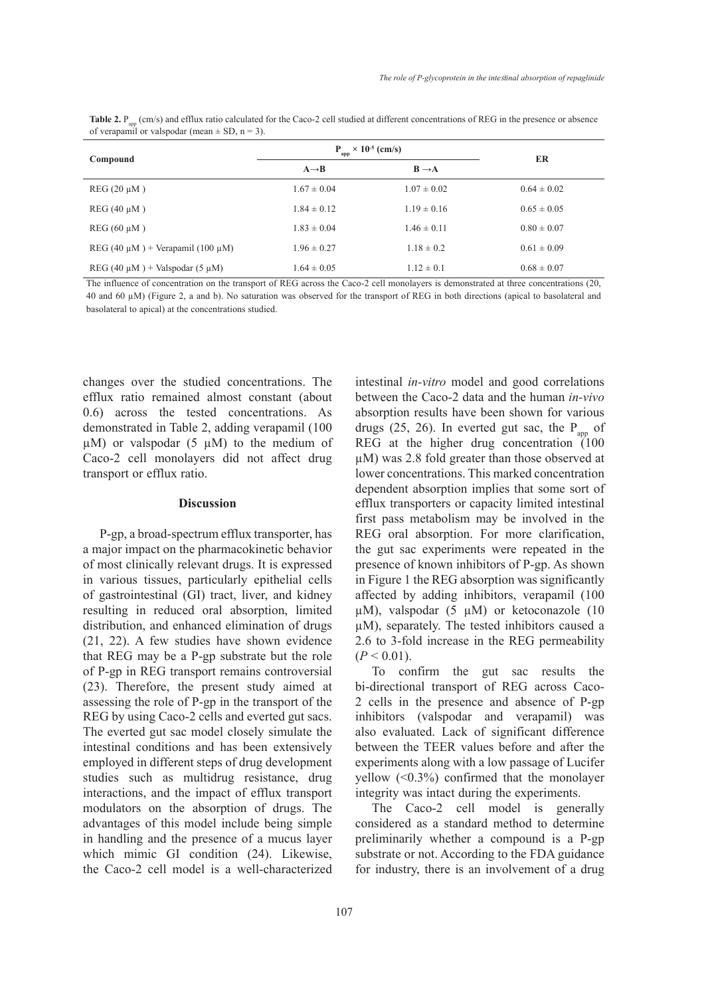| Compound                                   | $\times$ 10 <sup>-5</sup> (cm/s)<br>P.<br>app |                   | ER              |
|--------------------------------------------|-----------------------------------------------|-------------------|-----------------|
|                                            | $A \rightarrow B$                             | $B \rightarrow A$ |                 |
| $REG(20 \mu M)$                            | $1.67 \pm 0.04$                               | $1.07 \pm 0.02$   | $0.64 \pm 0.02$ |
| $REG(40 \mu M)$                            | $1.84 \pm 0.12$                               | $1.19 \pm 0.16$   | $0.65 \pm 0.05$ |
| $REG(60 \mu M)$                            | $1.83 \pm 0.04$                               | $1.46 \pm 0.11$   | $0.80 \pm 0.07$ |
| REG (40 $\mu$ M) + Verapamil (100 $\mu$ M) | $1.96 \pm 0.27$                               | $1.18 \pm 0.2$    | $0.61 \pm 0.09$ |
| REG (40 $\mu$ M) + Valspodar (5 $\mu$ M)   | $1.64 \pm 0.05$                               | $1.12 \pm 0.1$    | $0.68 \pm 0.07$ |

Table 2. P<sub>app</sub> (cm/s) and efflux ratio calculated for the Caco-2 cell studied at different concentrations of REG in the presence or absence of verapamil or valspodar (mean  $\pm$  SD, n = 3).

The influence of concentration on the transport of REG across the Caco-2 cell monolayers is demonstrated at three concentrations (20, 40 and 60 µM) (Figure 2, a and b). No saturation was observed for the transport of REG in both directions (apical to basolateral and basolateral to apical) at the concentrations studied.

changes over the studied concentrations. The efflux ratio remained almost constant (about 0.6) across the tested concentrations. As demonstrated in Table 2, adding verapamil (100  $\mu$ M) or valspodar (5  $\mu$ M) to the medium of Caco-2 cell monolayers did not affect drug transport or efflux ratio.

#### **Discussion**

P-gp, a broad-spectrum efflux transporter, has a major impact on the pharmacokinetic behavior of most clinically relevant drugs. It is expressed in various tissues, particularly epithelial cells of gastrointestinal (GI) tract, liver, and kidney resulting in reduced oral absorption, limited distribution, and enhanced elimination of drugs (21, 22). A few studies have shown evidence that REG may be a P-gp substrate but the role of P-gp in REG transport remains controversial (23). Therefore, the present study aimed at assessing the role of P-gp in the transport of the REG by using Caco-2 cells and everted gut sacs. The everted gut sac model closely simulate the intestinal conditions and has been extensively employed in different steps of drug development studies such as multidrug resistance, drug interactions, and the impact of efflux transport modulators on the absorption of drugs. The advantages of this model include being simple in handling and the presence of a mucus layer which mimic GI condition (24). Likewise, the Caco-2 cell model is a well-characterized intestinal *in-vitro* model and good correlations between the Caco-2 data and the human *in-vivo* absorption results have been shown for various drugs (25, 26). In everted gut sac, the  $P_{\text{an}}$  of REG at the higher drug concentration (100 µM) was 2.8 fold greater than those observed at lower concentrations. This marked concentration dependent absorption implies that some sort of efflux transporters or capacity limited intestinal first pass metabolism may be involved in the REG oral absorption. For more clarification, the gut sac experiments were repeated in the presence of known inhibitors of P-gp. As shown in Figure 1 the REG absorption was significantly affected by adding inhibitors, verapamil (100  $\mu$ M), valspodar (5  $\mu$ M) or ketoconazole (10 µM), separately. The tested inhibitors caused a 2.6 to 3-fold increase in the REG permeability  $(P < 0.01)$ .

To confirm the gut sac results the bi-directional transport of REG across Caco-2 cells in the presence and absence of P-gp inhibitors (valspodar and verapamil) was also evaluated. Lack of significant difference between the TEER values before and after the experiments along with a low passage of Lucifer yellow (<0.3%) confirmed that the monolayer integrity was intact during the experiments.

The Caco-2 cell model is generally considered as a standard method to determine preliminarily whether a compound is a P-gp substrate or not. According to the FDA guidance for industry, there is an involvement of a drug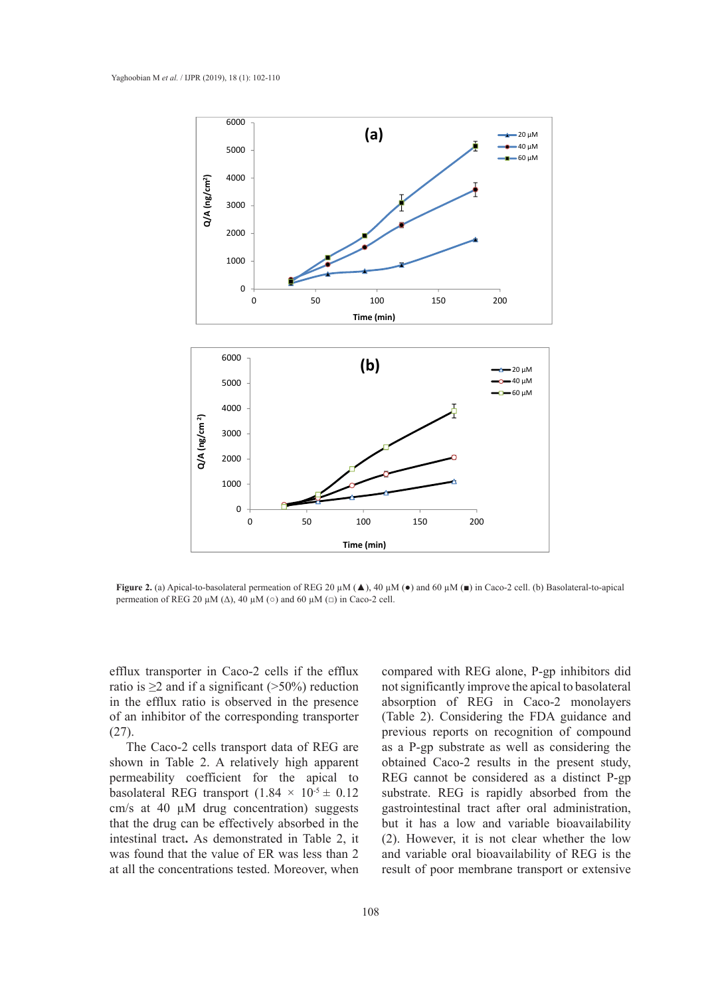

**Figure 2.** (a) Apical-to-basolateral permeation of REG 20  $\mu$ M ( $\blacktriangle$ ), 40  $\mu$ M ( $\blacktriangleright$ ) and 60  $\mu$ M ( $\blacktriangleright$ ) in Caco-2 cell. (b) Basolateral-to-apical permeation of REG 20  $\mu$ M ( $\Delta$ ), 40  $\mu$ M ( $\circ$ ) and 60  $\mu$ M ( $\Box$ ) in Caco-2 cell.

efflux transporter in Caco-2 cells if the efflux ratio is  $\geq$  2 and if a significant (>50%) reduction in the efflux ratio is observed in the presence of an inhibitor of the corresponding transporter (27).

The Caco-2 cells transport data of REG are shown in Table 2. A relatively high apparent permeability coefficient for the apical to basolateral REG transport  $(1.84 \times 10^{-5} \pm 0.12)$ cm/s at 40 µM drug concentration) suggests that the drug can be effectively absorbed in the intestinal tract**.** As demonstrated in Table 2, it was found that the value of ER was less than 2 at all the concentrations tested. Moreover, when

ansporter in Caco-2 cells if the efflux compared with REG alone, P-gp inhibitors did  $2$  and if a significant ( $>50\%$ ) reduction not significantly improve the apical to basolateral filial ratio is observed in the presence absorption of REG in Caco-2 monolayers<br>cells of the company live trace at a CI-liver, Considering the EDA exidence and (Table 2). Considering the FDA guidance and  $\geq$ 2 and if a significant (>50%) reduction and significantly improve the apical to basolateral<br>efflux ratio is observed in the presence absorption of REG in Caco-2 monolayers<br>thibitor of the corresponding transporter (T as a P-gp substrate as well as considering the obtained Caco-2 results in the present study, REG cannot be considered as a distinct P-gp substrate. REG is rapidly absorbed from the gastrointestinal tract after oral administration, but it has a low and variable bioavailability (2). However, it is not clear whether the low and variable oral bioavailability of REG is the result of poor membrane transport or extensive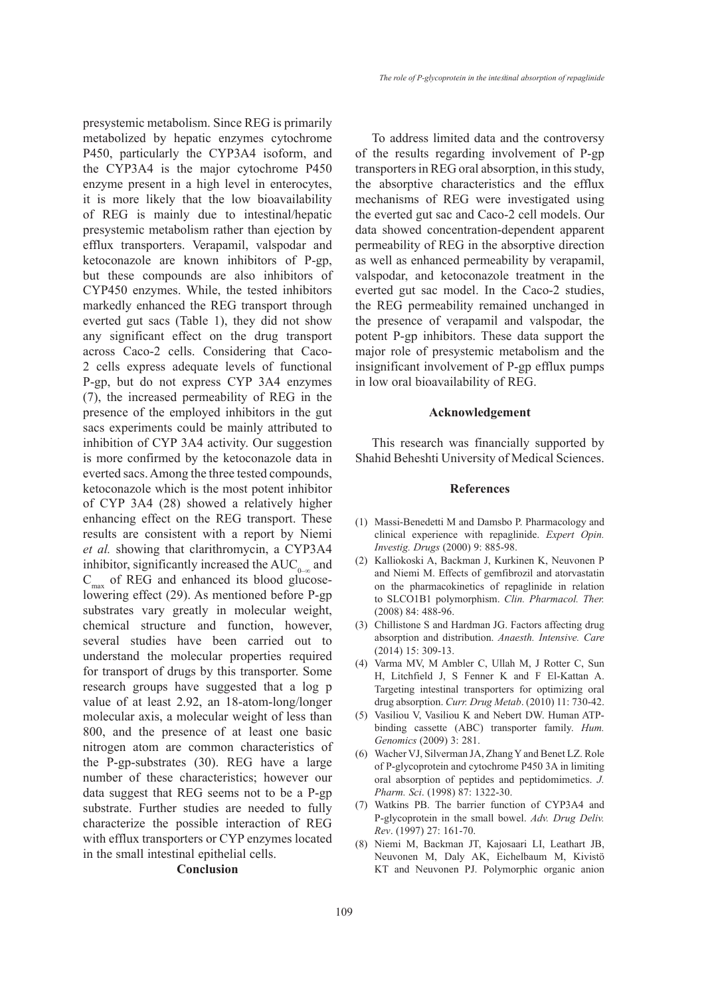presystemic metabolism. Since REG is primarily metabolized by hepatic enzymes cytochrome P450, particularly the CYP3A4 isoform, and the CYP3A4 is the major cytochrome P450 enzyme present in a high level in enterocytes, it is more likely that the low bioavailability of REG is mainly due to intestinal/hepatic presystemic metabolism rather than ejection by efflux transporters. Verapamil, valspodar and ketoconazole are known inhibitors of P-gp, but these compounds are also inhibitors of CYP450 enzymes. While, the tested inhibitors markedly enhanced the REG transport through everted gut sacs (Table 1), they did not show any significant effect on the drug transport across Caco-2 cells. Considering that Caco-2 cells express adequate levels of functional P-gp, but do not express CYP 3A4 enzymes (7), the increased permeability of REG in the presence of the employed inhibitors in the gut sacs experiments could be mainly attributed to inhibition of CYP 3A4 activity. Our suggestion is more confirmed by the ketoconazole data in everted sacs. Among the three tested compounds, ketoconazole which is the most potent inhibitor of CYP 3A4 (28) showed a relatively higher enhancing effect on the REG transport. These results are consistent with a report by Niemi *et al.* showing that clarithromycin, a CYP3A4 inhibitor, significantly increased the  $AUC_{0-\infty}$  and  $C_{\text{max}}$  of REG and enhanced its blood glucoselowering effect (29). As mentioned before P-gp substrates vary greatly in molecular weight, chemical structure and function, however, several studies have been carried out to understand the molecular properties required for transport of drugs by this transporter. Some research groups have suggested that a log p value of at least 2.92, an 18-atom-long/longer molecular axis, a molecular weight of less than 800, and the presence of at least one basic nitrogen atom are common characteristics of the P-gp-substrates (30). REG have a large number of these characteristics; however our data suggest that REG seems not to be a P-gp substrate. Further studies are needed to fully characterize the possible interaction of REG with efflux transporters or CYP enzymes located in the small intestinal epithelial cells.

**Conclusion**

To address limited data and the controversy of the results regarding involvement of P-gp transporters in REG oral absorption, in this study, the absorptive characteristics and the efflux mechanisms of REG were investigated using the everted gut sac and Caco-2 cell models. Our data showed concentration-dependent apparent permeability of REG in the absorptive direction as well as enhanced permeability by verapamil, valspodar, and ketoconazole treatment in the everted gut sac model. In the Caco-2 studies, the REG permeability remained unchanged in the presence of verapamil and valspodar, the potent P-gp inhibitors. These data support the major role of presystemic metabolism and the insignificant involvement of P-gp efflux pumps in low oral bioavailability of REG.

## **Acknowledgement**

This research was financially supported by Shahid Beheshti University of Medical Sciences.

# **References**

- (1) Massi-Benedetti M and Damsbo P. Pharmacology and clinical experience with repaglinide. *Expert Opin. Investig. Drugs* (2000) 9: 885-98.
- (2) Kalliokoski A, Backman J, Kurkinen K, Neuvonen P and Niemi M. Effects of gemfibrozil and atorvastatin on the pharmacokinetics of repaglinide in relation to SLCO1B1 polymorphism. *Clin. Pharmacol. Ther.*  (2008) 84: 488-96.
- Chillistone S and Hardman JG. Factors affecting drug (3) absorption and distribution. *Anaesth. Intensive. Care*  (2014) 15: 309-13.
- (4) Varma MV, M Ambler C, Ullah M, J Rotter C, Sun H, Litchfield J, S Fenner K and F El-Kattan A. Targeting intestinal transporters for optimizing oral drug absorption. *Curr. Drug Metab*. (2010) 11: 730-42.
- (5) Vasiliou V, Vasiliou K and Nebert DW. Human ATPbinding cassette (ABC) transporter family. *Hum. Genomics* (2009) 3: 281.
- Wacher VJ, Silverman JA, Zhang Y and Benet LZ. Role (6) of P‐glycoprotein and cytochrome P450 3A in limiting oral absorption of peptides and peptidomimetics. *J. Pharm. Sci*. (1998) 87: 1322-30.
- Watkins PB. The barrier function of CYP3A4 and (7) P-glycoprotein in the small bowel. *Adv. Drug Deliv. Rev*. (1997) 27: 161-70.
- (8) Niemi M, Backman JT, Kajosaari LI, Leathart JB, Neuvonen M, Daly AK, Eichelbaum M, Kivistö KT and Neuvonen PJ. Polymorphic organic anion